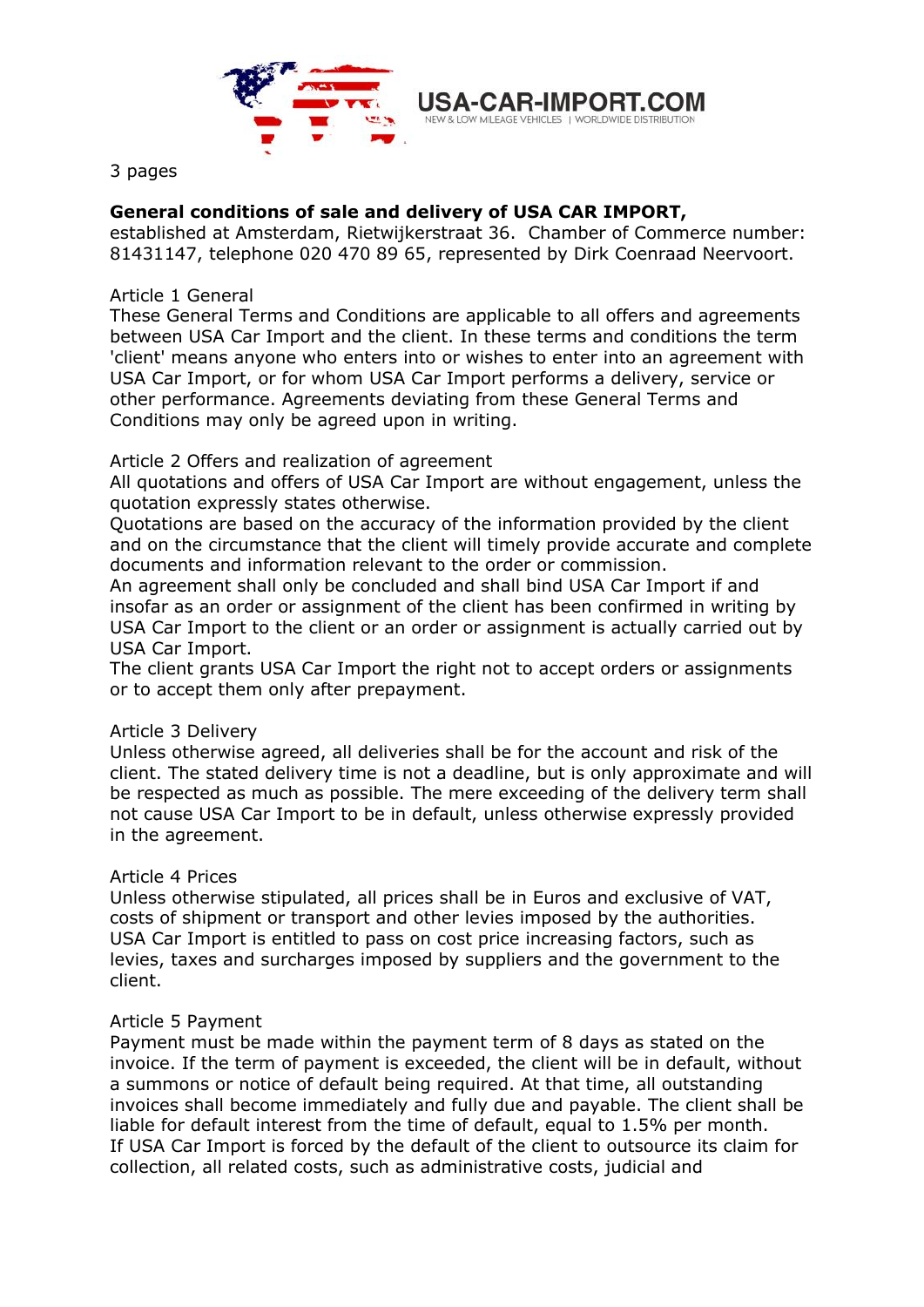

3 pages

# **General conditions of sale and delivery of USA CAR IMPORT,**

established at Amsterdam, Rietwijkerstraat 36. Chamber of Commerce number: 81431147, telephone 020 470 89 65, represented by Dirk Coenraad Neervoort.

# Article 1 General

These General Terms and Conditions are applicable to all offers and agreements between USA Car Import and the client. In these terms and conditions the term 'client' means anyone who enters into or wishes to enter into an agreement with USA Car Import, or for whom USA Car Import performs a delivery, service or other performance. Agreements deviating from these General Terms and Conditions may only be agreed upon in writing.

## Article 2 Offers and realization of agreement

All quotations and offers of USA Car Import are without engagement, unless the quotation expressly states otherwise.

Quotations are based on the accuracy of the information provided by the client and on the circumstance that the client will timely provide accurate and complete documents and information relevant to the order or commission.

An agreement shall only be concluded and shall bind USA Car Import if and insofar as an order or assignment of the client has been confirmed in writing by USA Car Import to the client or an order or assignment is actually carried out by USA Car Import.

The client grants USA Car Import the right not to accept orders or assignments or to accept them only after prepayment.

# Article 3 Delivery

Unless otherwise agreed, all deliveries shall be for the account and risk of the client. The stated delivery time is not a deadline, but is only approximate and will be respected as much as possible. The mere exceeding of the delivery term shall not cause USA Car Import to be in default, unless otherwise expressly provided in the agreement.

#### Article 4 Prices

Unless otherwise stipulated, all prices shall be in Euros and exclusive of VAT, costs of shipment or transport and other levies imposed by the authorities. USA Car Import is entitled to pass on cost price increasing factors, such as levies, taxes and surcharges imposed by suppliers and the government to the client.

#### Article 5 Payment

Payment must be made within the payment term of 8 days as stated on the invoice. If the term of payment is exceeded, the client will be in default, without a summons or notice of default being required. At that time, all outstanding invoices shall become immediately and fully due and payable. The client shall be liable for default interest from the time of default, equal to 1.5% per month. If USA Car Import is forced by the default of the client to outsource its claim for collection, all related costs, such as administrative costs, judicial and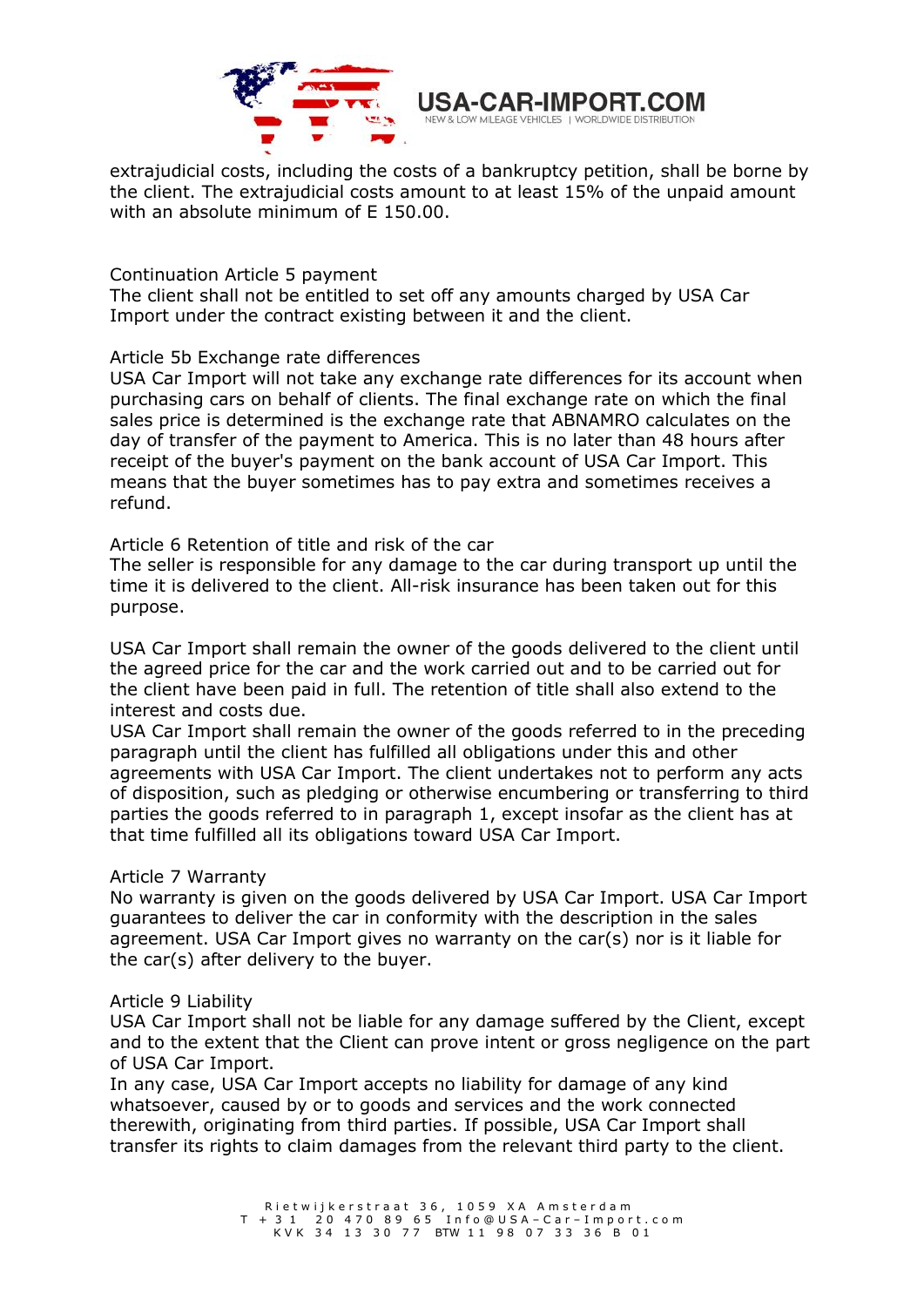

extrajudicial costs, including the costs of a bankruptcy petition, shall be borne by the client. The extrajudicial costs amount to at least 15% of the unpaid amount with an absolute minimum of E 150.00.

Continuation Article 5 payment

The client shall not be entitled to set off any amounts charged by USA Car Import under the contract existing between it and the client.

## Article 5b Exchange rate differences

USA Car Import will not take any exchange rate differences for its account when purchasing cars on behalf of clients. The final exchange rate on which the final sales price is determined is the exchange rate that ABNAMRO calculates on the day of transfer of the payment to America. This is no later than 48 hours after receipt of the buyer's payment on the bank account of USA Car Import. This means that the buyer sometimes has to pay extra and sometimes receives a refund.

Article 6 Retention of title and risk of the car

The seller is responsible for any damage to the car during transport up until the time it is delivered to the client. All-risk insurance has been taken out for this purpose.

USA Car Import shall remain the owner of the goods delivered to the client until the agreed price for the car and the work carried out and to be carried out for the client have been paid in full. The retention of title shall also extend to the interest and costs due.

USA Car Import shall remain the owner of the goods referred to in the preceding paragraph until the client has fulfilled all obligations under this and other agreements with USA Car Import. The client undertakes not to perform any acts of disposition, such as pledging or otherwise encumbering or transferring to third parties the goods referred to in paragraph 1, except insofar as the client has at that time fulfilled all its obligations toward USA Car Import.

# Article 7 Warranty

No warranty is given on the goods delivered by USA Car Import. USA Car Import guarantees to deliver the car in conformity with the description in the sales agreement. USA Car Import gives no warranty on the car(s) nor is it liable for the car(s) after delivery to the buyer.

#### Article 9 Liability

USA Car Import shall not be liable for any damage suffered by the Client, except and to the extent that the Client can prove intent or gross negligence on the part of USA Car Import.

In any case, USA Car Import accepts no liability for damage of any kind whatsoever, caused by or to goods and services and the work connected therewith, originating from third parties. If possible, USA Car Import shall transfer its rights to claim damages from the relevant third party to the client.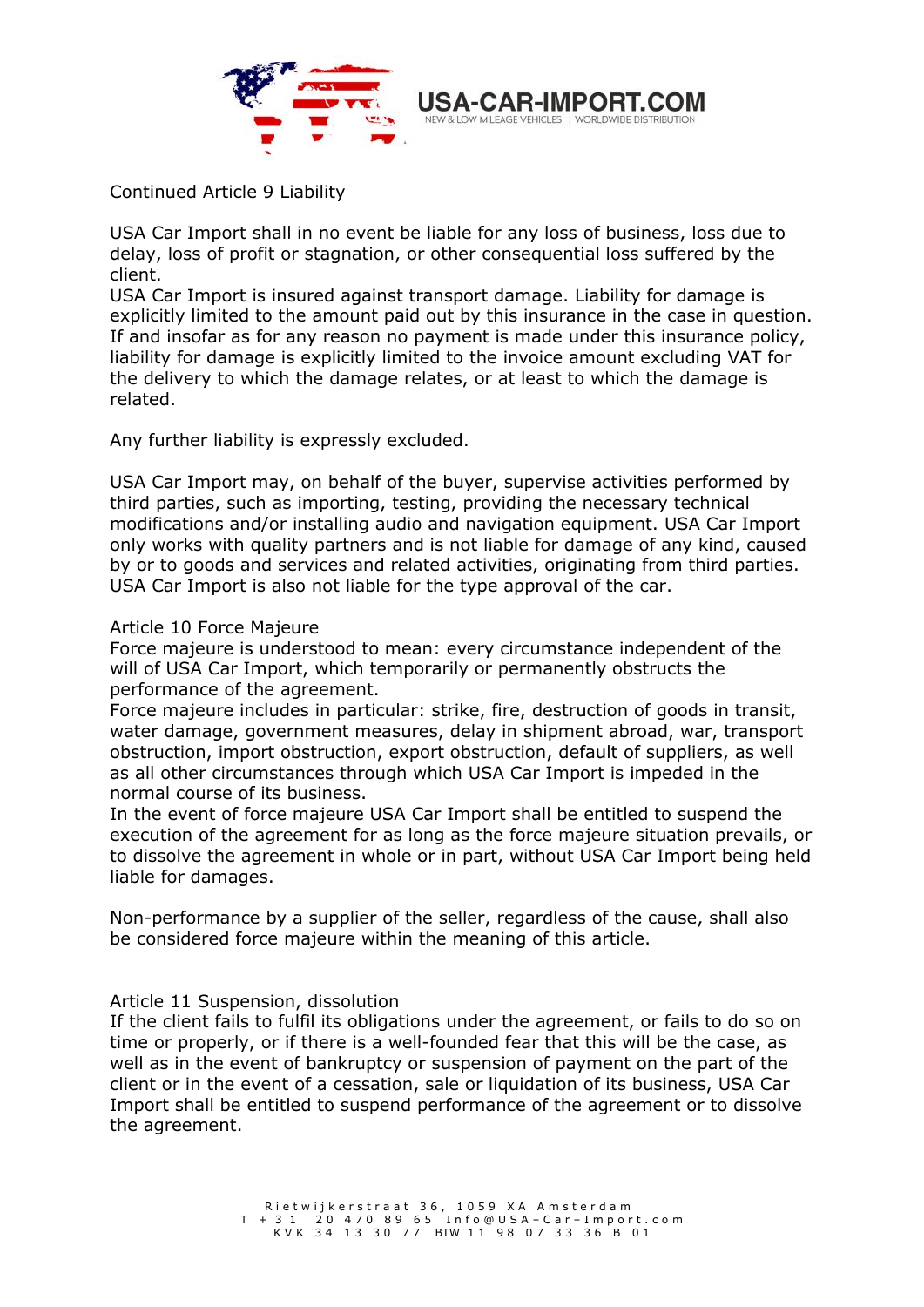

Continued Article 9 Liability

USA Car Import shall in no event be liable for any loss of business, loss due to delay, loss of profit or stagnation, or other consequential loss suffered by the client.

USA Car Import is insured against transport damage. Liability for damage is explicitly limited to the amount paid out by this insurance in the case in question. If and insofar as for any reason no payment is made under this insurance policy, liability for damage is explicitly limited to the invoice amount excluding VAT for the delivery to which the damage relates, or at least to which the damage is related.

Any further liability is expressly excluded.

USA Car Import may, on behalf of the buyer, supervise activities performed by third parties, such as importing, testing, providing the necessary technical modifications and/or installing audio and navigation equipment. USA Car Import only works with quality partners and is not liable for damage of any kind, caused by or to goods and services and related activities, originating from third parties. USA Car Import is also not liable for the type approval of the car.

## Article 10 Force Majeure

Force majeure is understood to mean: every circumstance independent of the will of USA Car Import, which temporarily or permanently obstructs the performance of the agreement.

Force majeure includes in particular: strike, fire, destruction of goods in transit, water damage, government measures, delay in shipment abroad, war, transport obstruction, import obstruction, export obstruction, default of suppliers, as well as all other circumstances through which USA Car Import is impeded in the normal course of its business.

In the event of force majeure USA Car Import shall be entitled to suspend the execution of the agreement for as long as the force majeure situation prevails, or to dissolve the agreement in whole or in part, without USA Car Import being held liable for damages.

Non-performance by a supplier of the seller, regardless of the cause, shall also be considered force majeure within the meaning of this article.

# Article 11 Suspension, dissolution

If the client fails to fulfil its obligations under the agreement, or fails to do so on time or properly, or if there is a well-founded fear that this will be the case, as well as in the event of bankruptcy or suspension of payment on the part of the client or in the event of a cessation, sale or liquidation of its business, USA Car Import shall be entitled to suspend performance of the agreement or to dissolve the agreement.